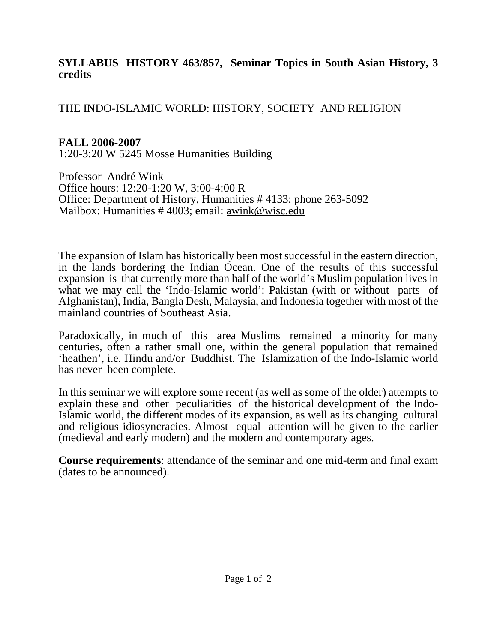#### **SYLLABUS HISTORY 463/857, Seminar Topics in South Asian History, 3 credits**

#### THE INDO-ISLAMIC WORLD: HISTORY, SOCIETY AND RELIGION

## **FALL 2006-2007**

1:20-3:20 W 5245 Mosse Humanities Building

Professor André Wink Office hours: 12:20-1:20 W, 3:00-4:00 R Office: Department of History, Humanities # 4133; phone 263-5092 Mailbox: Humanities # 4003; email: awink@wisc.edu

The expansion of Islam has historically been most successful in the eastern direction, in the lands bordering the Indian Ocean. One of the results of this successful expansion is that currently more than half of the world's Muslim population lives in what we may call the 'Indo-Islamic world': Pakistan (with or without parts of Afghanistan), India, Bangla Desh, Malaysia, and Indonesia together with most of the mainland countries of Southeast Asia.

Paradoxically, in much of this area Muslims remained a minority for many centuries, often a rather small one, within the general population that remained 'heathen', i.e. Hindu and/or Buddhist. The Islamization of the Indo-Islamic world has never been complete.

In this seminar we will explore some recent (as well as some of the older) attempts to explain these and other peculiarities of the historical development of the Indo-Islamic world, the different modes of its expansion, as well as its changing cultural and religious idiosyncracies. Almost equal attention will be given to the earlier (medieval and early modern) and the modern and contemporary ages.

**Course requirements**: attendance of the seminar and one mid-term and final exam (dates to be announced).